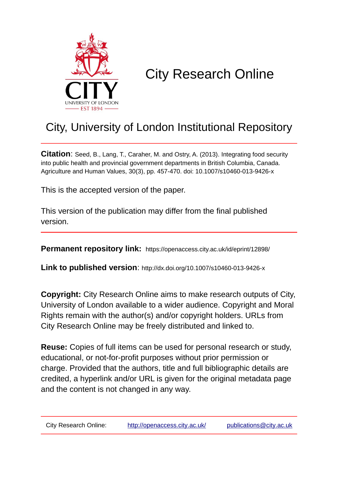

# City Research Online

# City, University of London Institutional Repository

**Citation**: Seed, B., Lang, T., Caraher, M. and Ostry, A. (2013). Integrating food security into public health and provincial government departments in British Columbia, Canada. Agriculture and Human Values, 30(3), pp. 457-470. doi: 10.1007/s10460-013-9426-x

This is the accepted version of the paper.

This version of the publication may differ from the final published version.

**Permanent repository link:** https://openaccess.city.ac.uk/id/eprint/12898/

**Link to published version**: http://dx.doi.org/10.1007/s10460-013-9426-x

**Copyright:** City Research Online aims to make research outputs of City, University of London available to a wider audience. Copyright and Moral Rights remain with the author(s) and/or copyright holders. URLs from City Research Online may be freely distributed and linked to.

**Reuse:** Copies of full items can be used for personal research or study, educational, or not-for-profit purposes without prior permission or charge. Provided that the authors, title and full bibliographic details are credited, a hyperlink and/or URL is given for the original metadata page and the content is not changed in any way.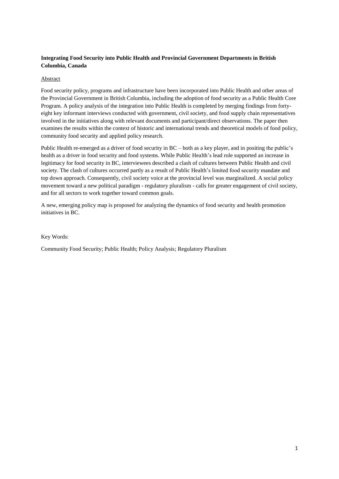# **Integrating Food Security into Public Health and Provincial Government Departments in British Columbia, Canada**

# Abstract

Food security policy, programs and infrastructure have been incorporated into Public Health and other areas of the Provincial Government in British Columbia, including the adoption of food security as a Public Health Core Program. A policy analysis of the integration into Public Health is completed by merging findings from fortyeight key informant interviews conducted with government, civil society, and food supply chain representatives involved in the initiatives along with relevant documents and participant/direct observations. The paper then examines the results within the context of historic and international trends and theoretical models of food policy, community food security and applied policy research.

Public Health re-emerged as a driver of food security in BC – both as a key player, and in positing the public's health as a driver in food security and food systems. While Public Health's lead role supported an increase in legitimacy for food security in BC, interviewees described a clash of cultures between Public Health and civil society. The clash of cultures occurred partly as a result of Public Health's limited food security mandate and top down approach. Consequently, civil society voice at the provincial level was marginalized. A social policy movement toward a new political paradigm - regulatory pluralism - calls for greater engagement of civil society, and for all sectors to work together toward common goals.

A new, emerging policy map is proposed for analyzing the dynamics of food security and health promotion initiatives in BC.

#### Key Words:

Community Food Security; Public Health; Policy Analysis; Regulatory Pluralism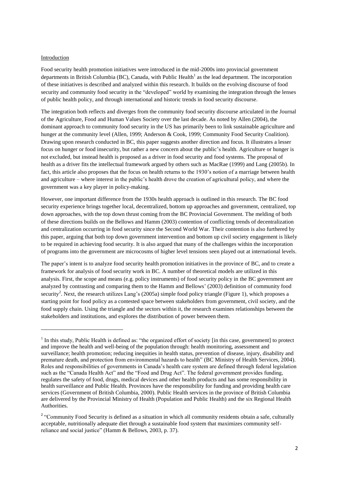#### Introduction

**.** 

Food security health promotion initiatives were introduced in the mid-2000s into provincial government departments in British Columbia (BC), Canada, with Public Health<sup>1</sup> as the lead department. The incorporation of these initiatives is described and analyzed within this research. It builds on the evolving discourse of food security and community food security in the "developed" world by examining the integration through the lenses of public health policy, and through international and historic trends in food security discourse.

The integration both reflects and diverges from the community food security discourse articulated in the Journal of the Agriculture, Food and Human Values Society over the last decade. As noted by Allen [\(2004\)](#page-17-0), the dominant approach to community food security in the US has primarily been to link sustainable agriculture and hunger at the community level [\(Allen, 1999;](#page-17-1) [Anderson & Cook, 1999;](#page-17-2) [Community Food Security Coalition\)](#page-17-3). Drawing upon research conducted in BC, this paper suggests another direction and focus. It illustrates a lesser focus on hunger or food insecurity, but rather a new concern about the public's health. Agriculture or hunger is not excluded, but instead health is proposed as a driver in food security and food systems. The proposal of health as a driver fits the intellectual framework argued by others such as MacRae [\(1999\)](#page-19-0) and Lang [\(2005b\)](#page-18-0). In fact, this article also proposes that the focus on health returns to the 1930's notion of a marriage between health and agriculture – where interest in the public's health drove the creation of agricultural policy, and where the government was a key player in policy-making.

However, one important difference from the 1930s health approach is outlined in this research. The BC food security experience brings together local, decentralized, bottom up approaches and government, centralized, top down approaches, with the top down thrust coming from the BC Provincial Government. The melding of both of these directions builds on the Bellows and Hamm [\(2003\)](#page-17-4) contention of conflicting trends of decentralization and centralization occurring in food security since the Second World War. Their contention is also furthered by this paper, arguing that both top down government intervention and bottom up civil society engagement is likely to be required in achieving food security. It is also argued that many of the challenges within the incorporation of programs into the government are microcosms of higher level tensions seen played out at international levels.

The paper's intent is to analyze food security health promotion initiatives in the province of BC, and to create a framework for analysis of food security work in BC. A number of theoretical models are utilized in this analysis. First, the scope and means (e.g. policy instruments) of food security policy in the BC government are analyzed by contrasting and comparing them to the Hamm and Bellows' [\(2003\)](#page-17-4) definition of community food security<sup>2</sup>. Next, the research utilizes Lang's [\(2005a\)](#page-18-1) simple food policy triangle (Figure 1), which proposes a starting point for food policy as a contested space between stakeholders from government, civil society, and the food supply chain. Using the triangle and the sectors within it, the research examines relationships between the stakeholders and institutions, and explores the distribution of power between them.

<sup>&</sup>lt;sup>1</sup> In this study, Public Health is defined as: "the organized effort of society [in this case, government] to protect and improve the health and well-being of the population through: health monitoring, assessment and surveillance; health promotion; reducing inequities in health status, prevention of disease, injury, disability and premature death, and protection from environmental hazards to health" [\(BC Ministry of Health Services, 2004\)](#page-17-5). Roles and responsibilities of governments in Canada's health care system are defined through federal legislation such as the "Canada Health Act" and the "Food and Drug Act". The federal government provides funding, regulates the safety of food, drugs, medical devices and other health products and has some responsibility in health surveillance and Public Health. Provinces have the responsibility for funding and providing health care services [\(Government of British Columbia, 2000\)](#page-18-2). Public Health services in the province of British Columbia are delivered by the Provincial Ministry of Health (Population and Public Health) and the six Regional Health Authorities.

<sup>&</sup>lt;sup>2</sup> "Community Food Security is defined as a situation in which all community residents obtain a safe, culturally acceptable, nutritionally adequate diet through a sustainable food system that maximizes community selfreliance and social justice" [\(Hamm & Bellows, 2003, p. 37\)](#page-18-3).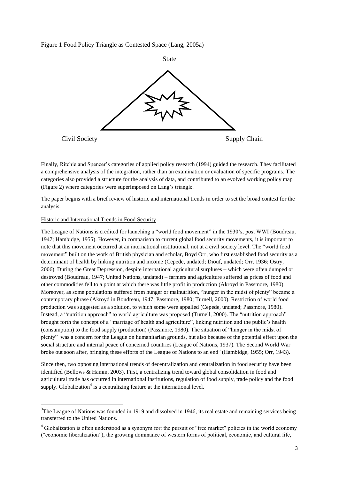Figure 1 Food Policy Triangle as Contested Space [\(Lang, 2005a\)](#page-18-1)



Finally, Ritchie and Spencer's categories of applied policy research [\(1994\)](#page-20-0) guided the research. They facilitated a comprehensive analysis of the integration, rather than an examination or evaluation of specific programs. The categories also provided a structure for the analysis of data, and contributed to an evolved working policy map (Figure 2) where categories were superimposed on Lang's triangle.

The paper begins with a brief review of historic and international trends in order to set the broad context for the analysis.

## Historic and International Trends in Food Security

**-**

The League of Nations is credited for launching a "world food movement" in the 1930's, post WWI [\(Boudreau,](#page-17-6)  [1947;](#page-17-6) [Hambidge, 1955\)](#page-18-4). However, in comparison to current global food security movements, it is important to note that this movement occurred at an international institutional, not at a civil society level. The "world food movement" built on the work of British physician and scholar, Boyd Orr, who first established food security as a determinant of health by linking nutrition and income [\(Cepede, undated;](#page-17-7) [Diouf, undated;](#page-18-5) [Orr, 1936;](#page-19-1) [Ostry,](#page-19-2)  [2006\)](#page-19-2). During the Great Depression, despite international agricultural surpluses – which were often dumped or destroyed [\(Boudreau, 1947;](#page-17-6) [United Nations, undated\)](#page-20-1) – farmers and agriculture suffered as prices of food and other commodities fell to a point at which there was little profit in production [\(Akroyd in Passmore, 1980\)](#page-19-3). Moreover, as some populations suffered from hunger or malnutrition, "hunger in the midst of plenty" became a contemporary phrase (Akroyd in [Boudreau, 1947;](#page-17-6) [Passmore, 1980;](#page-19-3) [Turnell, 2000\)](#page-20-2). Restriction of world food production was suggested as a solution, to which some were appalled [\(Cepede, undated;](#page-17-7) [Passmore, 1980\)](#page-19-3). Instead, a "nutrition approach" to world agriculture was proposed [\(Turnell, 2000\)](#page-20-2). The "nutrition approach" brought forth the concept of a "marriage of health and agriculture", linking nutrition and the public's health (consumption) to the food supply (production) [\(Passmore, 1980\)](#page-19-3). The situation of "hunger in the midst of plenty" was a concern for the League on humanitarian grounds, but also because of the potential effect upon the social structure and internal peace of concerned countries [\(League of Nations, 1937\)](#page-19-4). The Second World War broke out soon after, bringing these efforts of the League of Nations to an end<sup>3</sup> [\(Hambidge, 1955;](#page-18-4) [Orr, 1943\)](#page-19-5).

Since then, two opposing international trends of decentralization and centralization in food security have been identified [\(Bellows & Hamm, 2003\)](#page-17-4). First, a centralizing trend toward global consolidation in food and agricultural trade has occurred in international institutions, regulation of food supply, trade policy and the food supply. Globalization<sup>4</sup> is a centralizing feature at the international level.

 $3$ The League of Nations was founded in 1919 and dissolved in 1946, its real estate and remaining services being transferred to the United Nations.

<sup>&</sup>lt;sup>4</sup> Globalization is often understood as a synonym for: the pursuit of "free market" policies in the world economy ("economic liberalization"), the growing dominance of western forms of political, economic, and cultural life,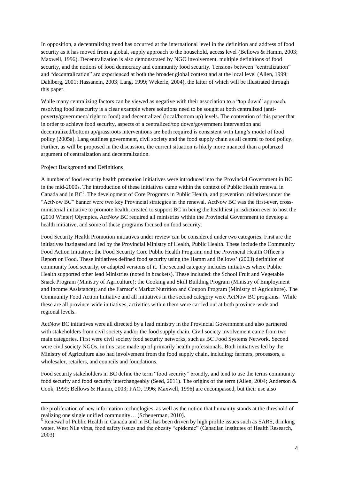In opposition, a decentralizing trend has occurred at the international level in the definition and address of food security as it has moved from a global, supply approach to the household, access level [\(Bellows & Hamm, 2003;](#page-17-4) [Maxwell, 1996\)](#page-19-6). Decentralization is also demonstrated by NGO involvement, multiple definitions of food security, and the notions of food democracy and community food security. Tensions between "centralization" and "decentralization" are experienced at both the broader global context and at the local level [\(Allen, 1999;](#page-17-1) [Dahlberg, 2001;](#page-17-8) [Hassanein, 2003;](#page-18-6) [Lang, 1999;](#page-18-7) [Wekerle, 2004\)](#page-20-3), the latter of which will be illustrated through this paper.

While many centralizing factors can be viewed as negative with their association to a "top down" approach, resolving food insecurity is a clear example where solutions need to be sought at both centralized (antipoverty/government/ right to food) and decentralized (local/bottom up) levels. The contention of this paper that in order to achieve food security, aspects of a centralized/top down/government intervention and decentralized/bottom up/grassroots interventions are both required is consistent with Lang's model of food policy [\(2005a\)](#page-18-1). Lang outlines government, civil society and the food supply chain as all central to food policy. Further, as will be proposed in the discussion, the current situation is likely more nuanced than a polarized argument of centralization and decentralization.

# Project Background and Definitions

**.** 

A number of food security health promotion initiatives were introduced into the Provincial Government in BC in the mid-2000s. The introduction of these initiatives came within the context of Public Health renewal in Canada and in BC<sup>5</sup>. The development of Core Programs in Public Health, and prevention initiatives under the "ActNow BC" banner were two key Provincial strategies in the renewal. ActNow BC was the first-ever, crossministerial initiative to promote health, created to support BC in being the healthiest jurisdiction ever to host the (2010 Winter) Olympics. ActNow BC required all ministries within the Provincial Government to develop a health initiative, and some of these programs focused on food security.

Food Security Health Promotion initiatives under review can be considered under two categories. First are the initiatives instigated and led by the Provincial Ministry of Health, Public Health. These include the Community Food Action Initiative; the Food Security Core Public Health Program; and the Provincial Health Officer's Report on Food. These initiatives defined food security using the Hamm and Bellows' [\(2003\)](#page-18-3) definition of community food security, or adapted versions of it. The second category includes initiatives where Public Health supported other lead Ministries (noted in brackets). These included: the School Fruit and Vegetable Snack Program (Ministry of Agriculture); the Cooking and Skill Building Program (Ministry of Employment and Income Assistance); and the Farmer's Market Nutrition and Coupon Program (Ministry of Agriculture). The Community Food Action Initiative and all initiatives in the second category were ActNow BC programs. While these are all province-wide initiatives, activities within them were carried out at both province-wide and regional levels.

ActNow BC initiatives were all directed by a lead ministry in the Provincial Government and also partnered with stakeholders from civil society and/or the food supply chain. Civil society involvement came from two main categories. First were civil society food security networks, such as BC Food Systems Network. Second were civil society NGOs, in this case made up of primarily health professionals. Both initiatives led by the Ministry of Agriculture also had involvement from the food supply chain, including: farmers, processors, a wholesaler, retailers, and councils and foundations.

Food security stakeholders in BC define the term "food security" broadly, and tend to use the terms community food security and food security interchangeably [\(Seed, 2011\)](#page-20-4). The origins of the term [\(Allen, 2004;](#page-17-0) [Anderson &](#page-17-2)  [Cook, 1999;](#page-17-2) [Bellows & Hamm, 2003;](#page-17-4) [FAO, 1996;](#page-18-8) [Maxwell, 1996\)](#page-19-6) are encompassed, but their use also

the proliferation of new information technologies, as well as the notion that humanity stands at the threshold of realizing one single unified community… [\(Scheuerman, 2010\)](#page-20-5).

<sup>&</sup>lt;sup>5</sup> Renewal of Public Health in Canada and in BC has been driven by high profile issues such as SARS, drinking water, West Nile virus, food safety issues and the obesity "epidemic" [\(Canadian Institutes of Health Research,](#page-17-9)  [2003\)](#page-17-9)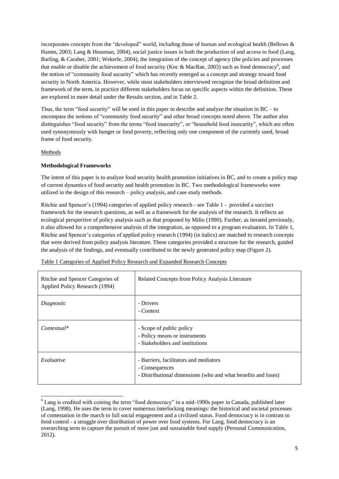incorporates concepts from the "developed" world, including those of human and ecological health [\(Bellows &](#page-17-4)  [Hamm, 2003;](#page-17-4) [Lang & Heasman, 2004\)](#page-19-7), social justice issues in both the production of and access to food [\(Lang,](#page-19-8)  [Barling, & Caraher, 2001;](#page-19-8) [Wekerle, 2004\)](#page-20-3), the integration of the concept of agency (the policies and processes that enable or disable the achievement of food security [\(Koc & MacRae, 2003\)](#page-18-9) such as food democracy<sup>6</sup>, and the notion of "community food security" which has recently emerged as a concept and strategy toward food security in North America. However, while most stakeholders interviewed recognize the broad definition and framework of the term, in practice different stakeholders focus on specific aspects within the definition. These are explored in more detail under the Results section, and in Table 2.

Thus, the term "food security" will be used in this paper to describe and analyze the situation in BC – to encompass the notions of "community food security" and other broad concepts noted above. The author also distinguishes "food security" from the terms "food insecurity", or "household food insecurity", which are often used synonymously with hunger or food poverty, reflecting only one component of the currently used, broad frame of food security.

# Methods

**.** 

# **Methodological Frameworks**

The intent of this paper is to analyze food security health promotion initiatives in BC, and to create a policy map of current dynamics of food security and health promotion in BC. Two methodological frameworks were utilized in the design of this research – policy analysis, and case study methods.

Ritchie and Spencer's [\(1994\)](#page-20-0) categories of applied policy research - see Table 1 - provided a succinct framework for the research questions, as well as a framework for the analysis of the research. It reflects an ecological perspective of policy analysis such as that proposed by Milio [\(1990\)](#page-19-9). Further, as iterated previously, it also allowed for a comprehensive analysis of the integration, as opposed to a program evaluation. In Table 1, Ritchie and Spencer's categories of applied policy research [\(1994\)](#page-20-0) (in italics) are matched to research concepts that were derived from policy analysis literature. These categories provided a structure for the research, guided the analysis of the findings, and eventually contributed to the newly generated policy map (Figure 2).

| Ritchie and Spencer Categories of<br>Applied Policy Research (1994) | Related Concepts from Policy Analysis Literature                                                                          |
|---------------------------------------------------------------------|---------------------------------------------------------------------------------------------------------------------------|
| Diagnostic                                                          | - Drivers<br>- Context                                                                                                    |
| $Contextual*$                                                       | - Scope of public policy<br>- Policy means or instruments<br>- Stakeholders and institutions                              |
| Evaluative                                                          | - Barriers, facilitators and mediators<br>- Consequences<br>- Distributional dimensions (who and what benefits and loses) |

Table 1 Categories of Applied Policy Research and Expanded Research Concepts

 $6$  Lang is credited with coining the term "food democracy" in a mid-1990s paper in Canada, published later [\(Lang, 1998\)](#page-18-10). He uses the term to cover numerous interlocking meanings: the historical and societal processes of contestation in the march to full social engagement and a civilized status. Food democracy is in contrast to food control - a struggle over distribution of power over food systems. For Lang, food democracy is an overarching term to capture the pursuit of more just and sustainable food supply (Personal Communication, 2012).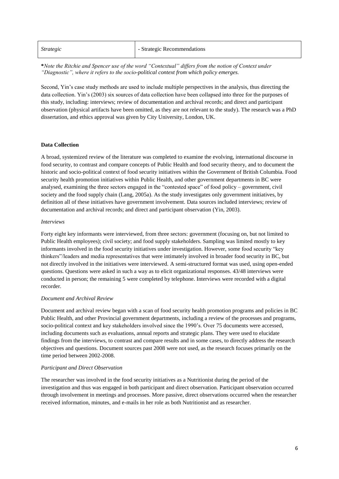| - Strategic Recommendations |
|-----------------------------|
|                             |

**\****Note the Ritchie and Spencer use of the word "Contextual" differs from the notion of Context under "Diagnostic", where it refers to the socio-political context from which policy emerges.*

Second, Yin's case study methods are used to include multiple perspectives in the analysis, thus directing the data collection. Yin's (2003) six sources of data collection have been collapsed into three for the purposes of this study, including: interviews; review of documentation and archival records; and direct and participant observation (physical artifacts have been omitted, as they are not relevant to the study). The research was a PhD dissertation, and ethics approval was given by City University, London, UK.

#### **Data Collection**

A broad, systemized review of the literature was completed to examine the evolving, international discourse in food security, to contrast and compare concepts of Public Health and food security theory, and to document the historic and socio-political context of food security initiatives within the Government of British Columbia. Food security health promotion initiatives within Public Health, and other government departments in BC were analysed, examining the three sectors engaged in the "contested space" of food policy – government, civil society and the food supply chain [\(Lang, 2005a\)](#page-18-1). As the study investigates only government initiatives, by definition all of these initiatives have government involvement. Data sources included interviews; review of documentation and archival records; and direct and participant observation [\(Yin, 2003\)](#page-20-6).

#### *Interviews*

Forty eight key informants were interviewed, from three sectors: government (focusing on, but not limited to Public Health employees); civil society; and food supply stakeholders. Sampling was limited mostly to key informants involved in the food security initiatives under investigation. However, some food security "key thinkers"/leaders and media representatives that were intimately involved in broader food security in BC, but not directly involved in the initiatives were interviewed. A semi-structured format was used, using open-ended questions. Questions were asked in such a way as to elicit organizational responses. 43/48 interviews were conducted in person; the remaining 5 were completed by telephone. Interviews were recorded with a digital recorder.

#### *Document and Archival Review*

Document and archival review began with a scan of food security health promotion programs and policies in BC Public Health, and other Provincial government departments, including a review of the processes and programs, socio-political context and key stakeholders involved since the 1990's. Over 75 documents were accessed, including documents such as evaluations, annual reports and strategic plans. They were used to elucidate findings from the interviews, to contrast and compare results and in some cases, to directly address the research objectives and questions. Document sources past 2008 were not used, as the research focuses primarily on the time period between 2002-2008.

#### *Participant and Direct Observation*

The researcher was involved in the food security initiatives as a Nutritionist during the period of the investigation and thus was engaged in both participant and direct observation. Participant observation occurred through involvement in meetings and processes. More passive, direct observations occurred when the researcher received information, minutes, and e-mails in her role as both Nutritionist and as researcher.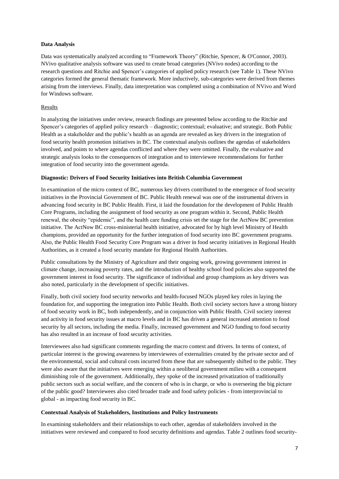# **Data Analysis**

Data was systematically analyzed according to "Framework Theory" [\(Ritchie, Spencer, & O'Connor, 2003\)](#page-20-7). NVivo qualitative analysis software was used to create broad categories (NVivo nodes) according to the research questions and Ritchie and Spencer's categories of applied policy research (see Table 1). These NVivo categories formed the general thematic framework. More inductively, sub-categories were derived from themes arising from the interviews. Finally, data interpretation was completed using a combination of NVivo and Word for Windows software.

## Results

In analyzing the initiatives under review, research findings are presented below according to the Ritchie and Spencer's categories of applied policy research – diagnostic; contextual; evaluative; and strategic. Both Public Health as a stakeholder and the public's health as an agenda are revealed as key drivers in the integration of food security health promotion initiatives in BC. The contextual analysis outlines the agendas of stakeholders involved, and points to where agendas conflicted and where they were omitted. Finally, the evaluative and strategic analysis looks to the consequences of integration and to interviewee recommendations for further integration of food security into the government agenda.

#### **Diagnostic: Drivers of Food Security Initiatives into British Columbia Government**

In examination of the micro context of BC, numerous key drivers contributed to the emergence of food security initiatives in the Provincial Government of BC. Public Health renewal was one of the instrumental drivers in advancing food security in BC Public Health. First, it laid the foundation for the development of Public Health Core Programs, including the assignment of food security as one program within it. Second, Public Health renewal, the obesity "epidemic", and the health care funding crisis set the stage for the ActNow BC prevention initiative. The ActNow BC cross-ministerial health initiative, advocated for by high level Ministry of Health champions, provided an opportunity for the further integration of food security into BC government programs. Also, the Public Health Food Security Core Program was a driver in food security initiatives in Regional Health Authorities, as it created a food security mandate for Regional Health Authorities.

Public consultations by the Ministry of Agriculture and their ongoing work, growing government interest in climate change, increasing poverty rates, and the introduction of healthy school food policies also supported the government interest in food security. The significance of individual and group champions as key drivers was also noted, particularly in the development of specific initiatives.

Finally, both civil society food security networks and health-focused NGOs played key roles in laying the foundation for, and supporting the integration into Public Health. Both civil society sectors have a strong history of food security work in BC, both independently, and in conjunction with Public Health. Civil society interest and activity in food security issues at macro levels and in BC has driven a general increased attention to food security by all sectors, including the media. Finally, increased government and NGO funding to food security has also resulted in an increase of food security activities.

Interviewees also had significant comments regarding the macro context and drivers. In terms of context, of particular interest is the growing awareness by interviewees of externalities created by the private sector and of the environmental, social and cultural costs incurred from these that are subsequently shifted to the public. They were also aware that the initiatives were emerging within a neoliberal government milieu with a consequent diminishing role of the government. Additionally, they spoke of the increased privatization of traditionally public sectors such as social welfare, and the concern of who is in charge, or who is overseeing the big picture of the public good? Interviewees also cited broader trade and food safety policies - from interprovincial to global - as impacting food security in BC.

# **Contextual Analysis of Stakeholders, Institutions and Policy Instruments**

In examining stakeholders and their relationships to each other, agendas of stakeholders involved in the initiatives were reviewed and compared to food security definitions and agendas. Table 2 outlines food security-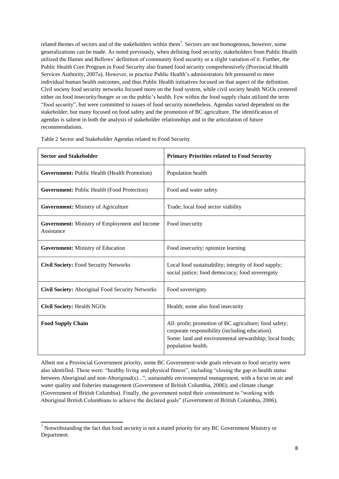related themes of sectors and of the stakeholders within them<sup>7</sup>. Sectors are not homogenous, however, some generalizations can be made. As noted previously, when defining food security, stakeholders from Public Health utilized the Hamm and Bellows' definition of community food security or a slight variation of it. Further, the Public Health Core Program in Food Security also framed food security comprehensively [\(Provincial Health](#page-19-10) [Services Authority, 2007a\)](#page-19-10). However, in practice Public Health's administrators felt pressured to meet individual human health outcomes, and thus Public Health initiatives focused on that aspect of the definition. Civil society food security networks focused more on the food system, while civil society health NGOs centered either on food insecurity/hunger or on the public's health. Few within the food supply chain utilized the term "food security", but were committed to issues of food security nonetheless. Agendas varied dependent on the stakeholder, but many focused on food safety and the promotion of BC agriculture. The identification of agendas is salient in both the analysis of stakeholder relationships and in the articulation of future recommendations.

| <b>Sector and Stakeholder</b>                                      | <b>Primary Priorities related to Food Security</b>                                                                                                                                        |
|--------------------------------------------------------------------|-------------------------------------------------------------------------------------------------------------------------------------------------------------------------------------------|
| Government: Public Health (Health Promotion)                       | Population health                                                                                                                                                                         |
| Government: Public Health (Food Protection)                        | Food and water safety                                                                                                                                                                     |
| <b>Government:</b> Ministry of Agriculture                         | Trade; local food sector viability                                                                                                                                                        |
| <b>Government:</b> Ministry of Employment and Income<br>Assistance | Food insecurity                                                                                                                                                                           |
| <b>Government:</b> Ministry of Education                           | Food insecurity; optimize learning                                                                                                                                                        |
| <b>Civil Society: Food Security Networks</b>                       | Local food sustainability; integrity of food supply;<br>social justice; food democracy; food sovereignty                                                                                  |
| <b>Civil Society:</b> Aboriginal Food Security Networks            | Food sovereignty                                                                                                                                                                          |
| <b>Civil Society: Health NGOs</b>                                  | Health; some also food insecurity                                                                                                                                                         |
| <b>Food Supply Chain</b>                                           | All: profit; promotion of BC agriculture; food safety;<br>corporate responsibility (including education).<br>Some: land and environmental stewardship; local foods;<br>population health. |

Table 2 Sector and Stakeholder Agendas related to Food Security

Albeit not a Provincial Government priority, some BC Government-wide goals relevant to food security were also identified. These were: "healthy living and physical fitness", including "closing the gap in health status between Aboriginal and non-Aboriginal(s)..."; sustainable environmental management, with a focus on air and water quality and fisheries management [\(Government of British Columbia, 2006\)](#page-18-11); and climate change [\(Government of British Columbia\)](#page-18-12). Finally, the government noted their commitment to "working with Aboriginal British Columbians to achieve the declared goals" [\(Government of British Columbia, 2006\)](#page-18-11).

**-**

 $<sup>7</sup>$  Notwithstanding the fact that food security is not a stated priority for any BC Government Ministry or</sup> Department.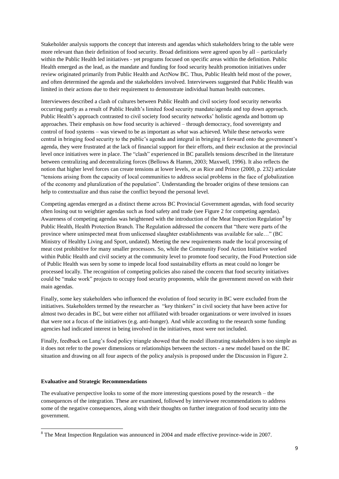Stakeholder analysis supports the concept that interests and agendas which stakeholders bring to the table were more relevant than their definition of food security. Broad definitions were agreed upon by all – particularly within the Public Health led initiatives - yet programs focused on specific areas within the definition. Public Health emerged as the lead, as the mandate and funding for food security health promotion initiatives under review originated primarily from Public Health and ActNow BC. Thus, Public Health held most of the power, and often determined the agenda and the stakeholders involved. Interviewees suggested that Public Health was limited in their actions due to their requirement to demonstrate individual human health outcomes.

Interviewees described a clash of cultures between Public Health and civil society food security networks occurring partly as a result of Public Health's limited food security mandate/agenda and top down approach. Public Health's approach contrasted to civil society food security networks' holistic agenda and bottom up approaches. Their emphasis on *how* food security is achieved – through democracy, food sovereignty and control of food systems – was viewed to be as important as *what* was achieved. While these networks were central in bringing food security to the public's agenda and integral in bringing it forward onto the government's agenda, they were frustrated at the lack of financial support for their efforts, and their exclusion at the provincial level once initiatives were in place. The "clash" experienced in BC parallels tensions described in the literature between centralizing and decentralizing forces [\(Bellows & Hamm, 2003;](#page-17-4) [Maxwell, 1996\)](#page-19-6). It also reflects the notion that higher level forces can create tensions at lower levels, or as Rice and Prince [\(2000, p. 232\)](#page-19-11) articulate "tensions arising from the capacity of local communities to address social problems in the face of globalization of the economy and pluralization of the population". Understanding the broader origins of these tensions can help to contextualize and thus raise the conflict beyond the personal level.

Competing agendas emerged as a distinct theme across BC Provincial Government agendas, with food security often losing out to weightier agendas such as food safety and trade (see Figure 2 for competing agendas). Awareness of competing agendas was heightened with the introduction of the Meat Inspection Regulation<sup>8</sup> by Public Health, Health Protection Branch. The Regulation addressed the concern that "there were parts of the province where uninspected meat from unlicensed slaughter establishments was available for sale…" [\(BC](#page-17-10)  [Ministry of Healthy Living and Sport, undated\)](#page-17-10). Meeting the new requirements made the local processing of meat cost prohibitive for many smaller processors. So, while the Community Food Action Initiative worked within Public Health and civil society at the community level to promote food security, the Food Protection side of Public Health was seen by some to impede local food sustainability efforts as meat could no longer be processed locally. The recognition of competing policies also raised the concern that food security initiatives could be "make work" projects to occupy food security proponents, while the government moved on with their main agendas.

Finally, some key stakeholders who influenced the evolution of food security in BC were excluded from the initiatives. Stakeholders termed by the researcher as "key thinkers" in civil society that have been active for almost two decades in BC, but were either not affiliated with broader organizations or were involved in issues that were not a focus of the initiatives (e.g. anti-hunger). And while according to the research some funding agencies had indicated interest in being involved in the initiatives, most were not included.

Finally, feedback on Lang's food policy triangle showed that the model illustrating stakeholders is too simple as it does not refer to the power dimensions or relationships between the sectors - a new model based on the BC situation and drawing on all four aspects of the policy analysis is proposed under the Discussion in Figure 2.

#### **Evaluative and Strategic Recommendations**

1

The evaluative perspective looks to some of the more interesting questions posed by the research – the consequences of the integration. These are examined, followed by interviewee recommendations to address some of the negative consequences, along with their thoughts on further integration of food security into the government.

 $8$  The Meat Inspection Regulation was announced in 2004 and made effective province-wide in 2007.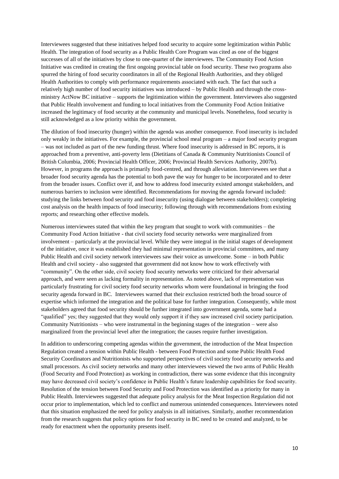Interviewees suggested that these initiatives helped food security to acquire some legitimization within Public Health. The integration of food security as a Public Health Core Program was cited as one of the biggest successes of all of the initiatives by close to one-quarter of the interviewees. The Community Food Action Initiative was credited in creating the first ongoing provincial table on food security. These two programs also spurred the hiring of food security coordinators in all of the Regional Health Authorities, and they obliged Health Authorities to comply with performance requirements associated with each. The fact that such a relatively high number of food security initiatives was introduced – by Public Health and through the crossministry ActNow BC initiative – supports the legitimization within the government. Interviewees also suggested that Public Health involvement and funding to local initiatives from the Community Food Action Initiative increased the legitimacy of food security at the community and municipal levels. Nonetheless, food security is still acknowledged as a low priority within the government.

The dilution of food insecurity (hunger) within the agenda was another consequence. Food insecurity is included only weakly in the initiatives. For example, the provincial school meal program – a major food security program – was not included as part of the new funding thrust. Where food insecurity is addressed in BC reports, it is approached from a preventive, anti-poverty lens [\(Dietitians of Canada & Community Nutritionists Council of](#page-17-11)  [British Columbia,](#page-17-11) 2006; [Provincial Health Officer, 2006;](#page-19-12) [Provincial Health Services Authority, 2007b\)](#page-19-13). However, in programs the approach is primarily food-centred, and through alleviation. Interviewees see that a broader food security agenda has the potential to both pave the way for hunger to be incorporated and to deter from the broader issues. Conflict over if, and how to address food insecurity existed amongst stakeholders, and numerous barriers to inclusion were identified. Recommendations for moving the agenda forward included: studying the links between food security and food insecurity (using dialogue between stakeholders); completing cost analysis on the health impacts of food insecurity; following through with recommendations from existing reports; and researching other effective models.

Numerous interviewees stated that within the key program that sought to work with communities – the Community Food Action Initiative - that civil society food security networks were marginalized from involvement – particularly at the provincial level. While they were integral in the initial stages of development of the initiative, once it was established they had minimal representation in provincial committees, and many Public Health and civil society network interviewees saw their voice as unwelcome. Some – in both Public Health and civil society - also suggested that government did not know how to work effectively with "community". On the other side, civil society food security networks were criticized for their adversarial approach, and were seen as lacking formality in representation. As noted above, lack of representation was particularly frustrating for civil society food security networks whom were foundational in bringing the food security agenda forward in BC. Interviewees warned that their exclusion restricted both the broad source of expertise which informed the integration and the political base for further integration. Consequently, while most stakeholders agreed that food security should be further integrated into government agenda, some had a "qualified" yes; they suggested that they would only support it if they saw increased civil society participation. Community Nutritionists – who were instrumental in the beginning stages of the integration – were also marginalized from the provincial level after the integration; the causes require further investigation.

In addition to underscoring competing agendas within the government, the introduction of the Meat Inspection Regulation created a tension within Public Health - between Food Protection and some Public Health Food Security Coordinators and Nutritionists who supported perspectives of civil society food security networks and small processors. As civil society networks and many other interviewees viewed the two arms of Public Health (Food Security and Food Protection) as working in contradiction, there was some evidence that this incongruity may have decreased civil society's confidence in Public Health's future leadership capabilities for food security. Resolution of the tension between Food Security and Food Protection was identified as a priority for many in Public Health. Interviewees suggested that adequate policy analysis for the Meat Inspection Regulation did not occur prior to implementation, which led to conflict and numerous unintended consequences. Interviewees noted that this situation emphasized the need for policy analysis in all initiatives. Similarly, another recommendation from the research suggests that policy options for food security in BC need to be created and analyzed, to be ready for enactment when the opportunity presents itself.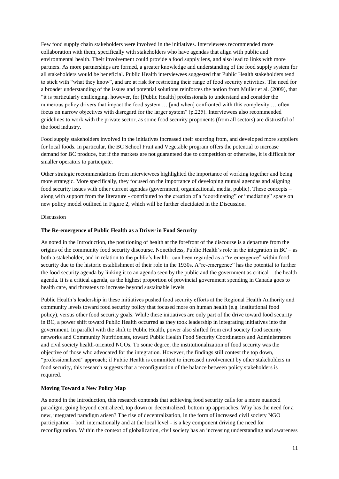Few food supply chain stakeholders were involved in the initiatives. Interviewees recommended more collaboration with them, specifically with stakeholders who have agendas that align with public and environmental health. Their involvement could provide a food supply lens, and also lead to links with more partners. As more partnerships are formed, a greater knowledge and understanding of the food supply system for all stakeholders would be beneficial. Public Health interviewees suggested that Public Health stakeholders tend to stick with "what they know", and are at risk for restricting their range of food security activities. The need for a broader understanding of the issues and potential solutions reinforces the notion from Muller et al. [\(2009\)](#page-19-14), that "it is particularly challenging, however, for [Public Health] professionals to understand and consider the numerous policy drivers that impact the food system ... [and when] confronted with this complexity ... often focus on narrow objectives with disregard for the larger system" (p.225). Interviewees also recommended guidelines to work with the private sector, as some food security proponents (from all sectors) are distrustful of the food industry.

Food supply stakeholders involved in the initiatives increased their sourcing from, and developed more suppliers for local foods. In particular, the BC School Fruit and Vegetable program offers the potential to increase demand for BC produce, but if the markets are not guaranteed due to competition or otherwise, it is difficult for smaller operators to participate.

Other strategic recommendations from interviewees highlighted the importance of working together and being more strategic. More specifically, they focused on the importance of developing mutual agendas and aligning food security issues with other current agendas (government, organizational, media, public). These concepts – along with support from the literature - contributed to the creation of a "coordinating" or "mediating" space on new policy model outlined in Figure 2, which will be further elucidated in the Discussion.

#### Discussion

#### **The Re-emergence of Public Health as a Driver in Food Security**

As noted in the Introduction, the positioning of health at the forefront of the discourse is a departure from the origins of the community food security discourse. Nonetheless, Public Health's role in the integration in BC – as both a stakeholder, and in relation to the public's health - can been regarded as a "re-emergence" within food security due to the historic establishment of their role in the 1930s. A"re-emergence" has the potential to further the food security agenda by linking it to an agenda seen by the public and the government as critical – the health agenda*.* It is a critical agenda, as the highest proportion of provincial government spending in Canada goes to health care, and threatens to increase beyond sustainable levels.

Public Health's leadership in these initiatives pushed food security efforts at the Regional Health Authority and community levels toward food security policy that focused more on human health (e.g. institutional food policy), versus other food security goals. While these initiatives are only part of the drive toward food security in BC, a power shift toward Public Health occurred as they took leadership in integrating initiatives into the government. In parallel with the shift to Public Health, power also shifted from civil society food security networks and Community Nutritionists, toward Public Health Food Security Coordinators and Administrators and civil society health-oriented NGOs. To some degree, the institutionalization of food security was the objective of those who advocated for the integration. However, the findings still contest the top down, "professionalized" approach; if Public Health is committed to increased involvement by other stakeholders in food security, this research suggests that a reconfiguration of the balance between policy stakeholders is required.

#### **Moving Toward a New Policy Map**

As noted in the Introduction, this research contends that achieving food security calls for a more nuanced paradigm, going beyond centralized, top down or decentralized, bottom up approaches. Why has the need for a new, integrated paradigm arisen? The rise of decentralization, in the form of increased civil society NGO participation – both internationally and at the local level - is a key component driving the need for reconfiguration. Within the context of globalization, civil society has an increasing understanding and awareness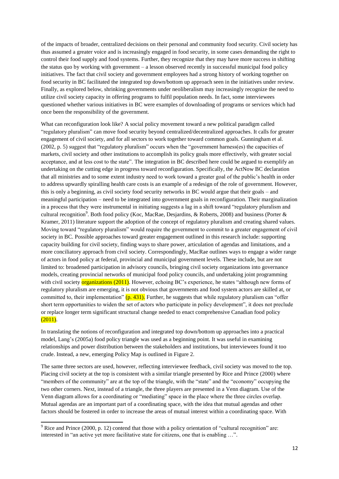of the impacts of broader, centralized decisions on their personal and community food security. Civil society has thus assumed a greater voice and is increasingly engaged in food security, in some cases demanding the right to control their food supply and food systems. Further, they recognize that they may have more success in shifting the status quo by working with government – a lesson observed recently in successful municipal food policy initiatives. The fact that civil society and government employees had a strong history of working together on food security in BC facilitated the integrated top down/bottom up approach seen in the initiatives under review. Finally, as explored below, shrinking governments under neoliberalism may increasingly recognize the need to utilize civil society capacity in offering programs to fulfil population needs. In fact, some interviewees questioned whether various initiatives in BC were examples of downloading of programs or services which had once been the responsibility of the government.

What can reconfiguration look like? A social policy movement toward a new political paradigm called "regulatory pluralism" can move food security beyond centralized/decentralized approaches. It calls for greater engagement of civil society, and for all sectors to work together toward common goals. Gunningham et al. [\(2002, p. 5\)](#page-18-13) suggest that "regulatory pluralism" occurs when the "government harness(es) the capacities of markets, civil society and other institutions to accomplish its policy goals more effectively, with greater social acceptance, and at less cost to the state". The integration in BC described here could be argued to exemplify an undertaking on the cutting edge in progress toward reconfiguration. Specifically, the ActNow BC declaration that all ministries and to some extent industry need to work toward a greater goal of the public's health in order to address upwardly spiralling health care costs is an example of a redesign of the role of government. However, this is only a beginning, as civil society food security networks in BC would argue that their goals – and meaningful participation – need to be integrated into government goals in reconfiguration. Their marginalization in a process that they were instrumental in initiating suggests a lag in a shift toward "regulatory pluralism and cultural recognition<sup>9</sup>. Both food policy [\(Koc, MacRae, Desjardins, & Roberts, 2008\)](#page-18-14) and business (Porter & [Kramer, 2011\)](#page-19-15) literature support the adoption of the concept of regulatory pluralism and creating shared values. Moving toward "regulatory pluralism" would require the government to commit to a greater engagement of civil society in BC. Possible approaches toward greater engagement outlined in this research include: supporting capacity building for civil society, finding ways to share power, articulation of agendas and limitations, and a more conciliatory approach from civil society. Correspondingly, MacRae outlines ways to engage a wider range of actors in food policy at federal, provincial and municipal government levels. These include, but are not limited to: broadened participation in advisory councils, bringing civil society organizations into governance models, creating provincial networks of municipal food policy councils, and undertaking joint programming with civil society **organizations** (2011). However, echoing BC's experience, he states "although new forms of regulatory pluralism are emerging, it is not obvious that governments and food system actors are skilled at, or committed to, their implementation"  $(p. 431)$ . Further, he suggests that while regulatory pluralism can "offer short term opportunities to widen the set of actors who participate in policy development", it does not preclude or replace longer term significant structural change needed to enact comprehensive Canadian food policy  $(2011).$ 

In translating the notions of reconfiguration and integrated top down/bottom up approaches into a practical model, Lang's [\(2005a\)](#page-18-1) food policy triangle was used as a beginning point. It was useful in examining relationships and power distribution between the stakeholders and institutions, but interviewees found it too crude. Instead, a new, emerging Policy Map is outlined in Figure 2.

The same three sectors are used, however, reflecting interviewee feedback, civil society was moved to the top. Placing civil society at the top is consistent with a similar triangle presented by Rice and Prince [\(2000\)](#page-19-11) where "members of the community" are at the top of the triangle, with the "state" and the "economy" occupying the two other corners. Next, instead of a triangle, the three players are presented in a Venn diagram. Use of the Venn diagram allows for a coordinating or "mediating" space in the place where the three circles overlap. Mutual agendas are an important part of a coordinating space, with the idea that mutual agendas and other factors should be fostered in order to increase the areas of mutual interest within a coordinating space. With

**-**

 $9$  Rice and Prince [\(2000, p. 12\)](#page-19-11) contend that those with a policy orientation of "cultural recognition" are: interested in "an active yet more facilitative state for citizens, one that is enabling …".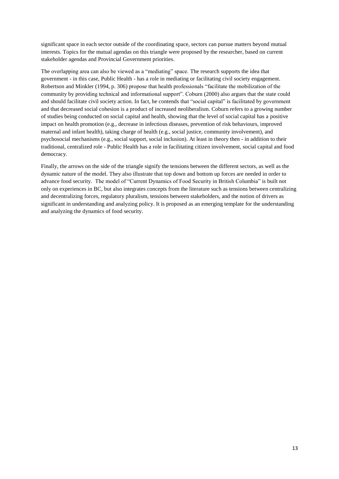significant space in each sector outside of the coordinating space, sectors can pursue matters beyond mutual interests. Topics for the mutual agendas on this triangle were proposed by the researcher, based on current stakeholder agendas and Provincial Government priorities.

The overlapping area can also be viewed as a "mediating" space. The research supports the idea that government - in this case, Public Health - has a role in mediating or facilitating civil society engagement. Robertson and Minkler [\(1994, p. 306\)](#page-20-8) propose that health professionals "facilitate the mobilization of the community by providing technical and informational support". Coburn [\(2000\)](#page-17-12) also argues that the state could and should facilitate civil society action. In fact, he contends that "social capital" is facilitated by government and that decreased social cohesion is a product of increased neoliberalism. Coburn refers to a growing number of studies being conducted on social capital and health, showing that the level of social capital has a positive impact on health promotion (e.g., decrease in infectious diseases, prevention of risk behaviours, improved maternal and infant health), taking charge of health (e.g., social justice, community involvement), and psychosocial mechanisms (e.g., social support, social inclusion). At least in theory then - in addition to their traditional, centralized role - Public Health has a role in facilitating citizen involvement, social capital and food democracy.

Finally, the arrows on the side of the triangle signify the tensions between the different sectors, as well as the dynamic nature of the model. They also illustrate that top down and bottom up forces are needed in order to advance food security. The model of "Current Dynamics of Food Security in British Columbia" is built not only on experiences in BC, but also integrates concepts from the literature such as tensions between centralizing and decentralizing forces, regulatory pluralism, tensions between stakeholders, and the notion of drivers as significant in understanding and analyzing policy. It is proposed as an emerging template for the understanding and analyzing the dynamics of food security.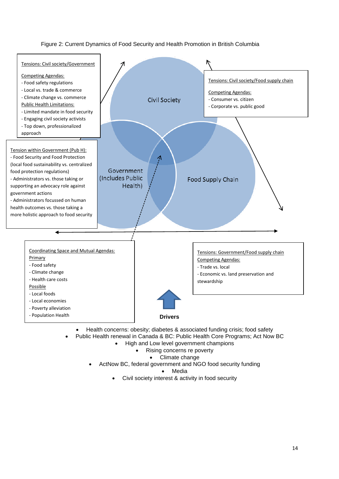# Figure 2: Current Dynamics of Food Security and Health Promotion in British Columbia



- Health concerns: obesity; diabetes & associated funding crisis; food safety
- Public Health renewal in Canada & BC: Public Health Core Programs; Act Now BC
	- High and Low level government champions
		- Rising concerns re poverty
		- Climate change
	- ActNow BC, federal government and NGO food security funding

Media

Civil society interest & activity in food security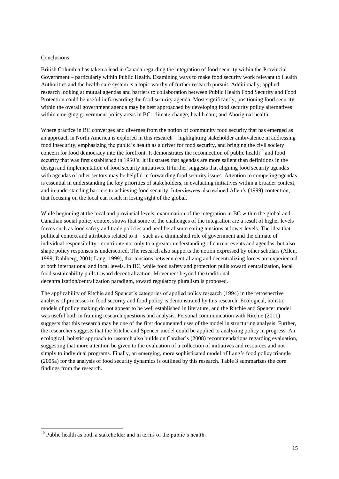#### Conclusions

British Columbia has taken a lead in Canada regarding the integration of food security within the Provincial Government – particularly within Public Health. Examining ways to make food security work relevant to Health Authorities and the health care system is a topic worthy of further research pursuit. Additionally, applied research looking at mutual agendas and barriers to collaboration between Public Health Food Security and Food Protection could be useful in forwarding the food security agenda. Most significantly, positioning food security within the overall government agenda may be best approached by developing food security policy alternatives within emerging government policy areas in BC: climate change; health care; and Aboriginal health.

Where practice in BC converges and diverges from the notion of community food security that has emerged as an approach in North America is explored in this research – highlighting stakeholder ambivalence in addressing food insecurity, emphasizing the public's health as a driver for food security, and bringing the civil society concern for food democracy into the forefront. It demonstrates the reconnection of public health<sup>10</sup> and food security that was first established in 1930's. It illustrates that agendas are more salient than definitions in the design and implementation of food security initiatives. It further suggests that aligning food security agendas with agendas of other sectors may be helpful in forwarding food security issues. Attention to competing agendas is essential in understanding the key priorities of stakeholders, in evaluating initiatives within a broader context, and in understanding barriers to achieving food security. Interviewees also echoed Allen's [\(1999\)](#page-17-1) contention, that focusing on the local can result in losing sight of the global.

While beginning at the local and provincial levels, examination of the integration in BC within the global and Canadian social policy context shows that some of the challenges of the integration are a result of higher levels forces such as food safety and trade policies and neoliberalism creating tensions at lower levels. The idea that political context and attributes related to it – such as a diminished role of government and the climate of individual responsibility - contribute not only to a greater understanding of current events and agendas, but also shape policy responses is underscored. The research also supports the notion expressed by other scholars [\(Allen,](#page-17-1)  [1999;](#page-17-1) [Dahlberg, 2001;](#page-17-8) [Lang, 1999\)](#page-18-7), that tensions between centralizing and decentralizing forces are experienced at both international and local levels. In BC, while food safety and protection pulls toward centralization, local food sustainability pulls toward decentralization. Movement beyond the traditional decentralization/centralization paradigm, toward regulatory pluralism is proposed.

The applicability of Ritchie and Spencer's categories of applied policy research [\(1994\)](#page-20-0) in the retrospective analysis of processes in food security and food policy is demonstrated by this research. Ecological, holistic models of policy making do not appear to be well established in literature, and the Ritchie and Spencer model was useful both in framing research questions and analysis. Personal communication with Ritchie [\(2011\)](#page-20-9) suggests that this research may be one of the first documented uses of the model in structuring analysis. Further, the researcher suggests that the Ritchie and Spencer model could be applied to analyzing policy in progress. An ecological, holistic approach to research also builds on Caraher's [\(2008\)](#page-17-13) recommendations regarding evaluation, suggesting that more attention be given to the evaluation of a collection of initiatives and resources and not simply to individual programs. Finally, an emerging, more sophisticated model of Lang's food policy triangle [\(2005a\)](#page-18-1) for the analysis of food security dynamics is outlined by this research. Table 3 summarizes the core findings from the research.

1

 $10$  Public health as both a stakeholder and in terms of the public's health.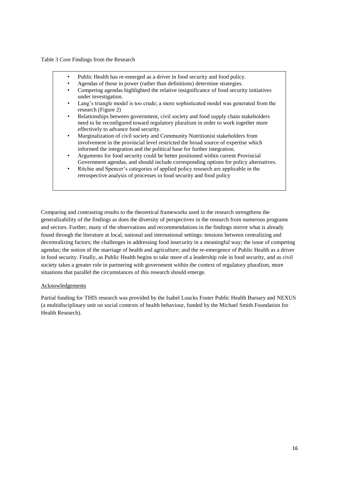Table 3 Core Findings from the Research

- Public Health has re-emerged as a driver in food security and food policy.
- Agendas of those in power (rather than definitions) determine strategies.
- Competing agendas highlighted the relative insignificance of food security initiatives under investigation.
- Lang's triangle model is too crude; a more sophisticated model was generated from the research (Figure 2)
- Relationships between government, civil society and food supply chain stakeholders need to be reconfigured toward regulatory pluralism in order to work together more effectively to advance food security.
- Marginalization of civil society and Community Nutritionist stakeholders from involvement in the provincial level restricted the broad source of expertise which informed the integration and the political base for further integration.
- Arguments for food security could be better positioned within current Provincial Government agendas, and should include corresponding options for policy alternatives.
- Ritchie and Spencer's categories of applied policy research are applicable in the retrospective analysis of processes in food security and food policy

Comparing and contrasting results to the theoretical frameworks used in the research strengthens the generalizability of the findings as does the diversity of perspectives in the research from numerous programs and sectors. Further, many of the observations and recommendations in the findings mirror what is already found through the literature at local, national and international settings: tensions between centralizing and decentralizing factors; the challenges in addressing food insecurity in a meaningful way; the issue of competing agendas; the notion of the marriage of health and agriculture; and the re-emergence of Public Health as a driver in food security. Finally, as Public Health begins to take more of a leadership role in food security, and as civil society takes a greater role in partnering with government within the context of regulatory pluralism, more situations that parallel the circumstances of this research should emerge.

# Acknowledgements

Partial funding for THIS research was provided by the Isabel Loucks Foster Public Health Bursary and NEXUS (a multidisciplinary unit on social contexts of health behaviour, funded by the Michael Smith Foundation for Health Research).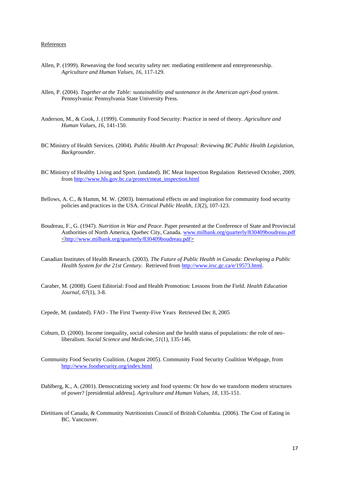#### <span id="page-17-1"></span>References

- <span id="page-17-0"></span>Allen, P. (1999). Reweaving the food security safety net: mediating entitlement and entrepreneurship. *Agriculture and Human Values, 16*, 117-129.
- <span id="page-17-2"></span>Allen, P. (2004). *Together at the Table: sustainability and sustenance in the American agri-food system*. Pennsylvania: Pennsylvania State University Press.
- <span id="page-17-5"></span>Anderson, M., & Cook, J. (1999). Community Food Security: Practice in need of theory. *Agriculture and Human Values, 16*, 141-150.
- <span id="page-17-10"></span>BC Ministry of Health Services. (2004). *Public Health Act Proposal: Reviewing BC Public Health Legislation, Backgrounder*.
- <span id="page-17-4"></span>BC Ministry of Healthy Living and Sport. (undated). BC Meat Inspection Regulation Retrieved October, 2009, from [http://www.hls.gov.bc.ca/protect/meat\\_inspection.html](http://www.hls.gov.bc.ca/protect/meat_inspection.html)
- <span id="page-17-6"></span>Bellows, A. C., & Hamm, M. W. (2003). International effects on and inspiration for community food security policies and practices in the USA. *Critical Public Health, 13*(2), 107-123.
- Boudreau, F., G. (1947). *Nutrition in War and Peace*. Paper presented at the Conference of State and Provincial Authorities of North America, Quebec City, Canada. [www.milbank.org/quarterly/830409boudreau.pdf](http://www.milbank.org/quarterly/830409boudreau.pdf) [<http://www.milbank.org/quarterly/830409boudreau.pdf>](http://www.milbank.org/quarterly/830409boudreau.pdf)
- <span id="page-17-13"></span><span id="page-17-9"></span>Canadian Institutes of Health Research. (2003). *The Future of Public Health in Canada: Developing a Public Health System for the 21st Century*. Retrieved from [http://www.irsc.gc.ca/e/19573.html.](http://www.irsc.gc.ca/e/19573.html)
- <span id="page-17-7"></span>Caraher, M. (2008). Guest Editorial: Food and Health Promotion: Lessons from the Field. *Health Education Journal, 67*(1), 3-8.

<span id="page-17-12"></span>Cepede, M. (undated). FAO - The First Twenty-Five Years Retrieved Dec 8, 2005

- <span id="page-17-3"></span>Coburn, D. (2000). Income inequality, social cohesion and the health status of populations: the role of neoliberalism. *Social Science and Medicine, 51*(1), 135-146.
- <span id="page-17-8"></span>Community Food Security Coalition. (August 2005). Community Food Security Coalition Webpage, from <http://www.foodsecurity.org/index.html>
- <span id="page-17-11"></span>Dahlberg, K., A. (2001). Democratizing society and food systems: Or how do we transform modern structures of power? [presidential address]. *Agriculture and Human Values, 18*, 135-151.
- Dietitians of Canada, & Community Nutritionists Council of British Columbia. (2006). The Cost of Eating in BC. Vancouver.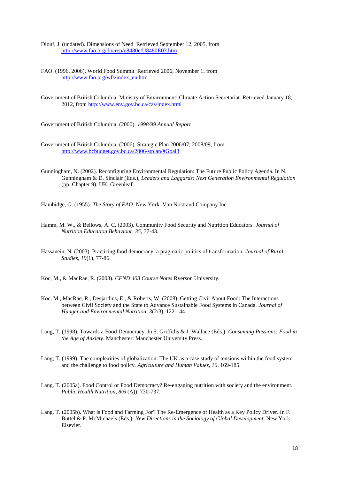<span id="page-18-8"></span><span id="page-18-5"></span>Diouf, J. (undated). Dimensions of Need Retrieved September 12, 2005, from <http://www.fao.org/docrep/u8480e/U8480E03.htm>

- <span id="page-18-12"></span>FAO. (1996, 2006). World Food Summit Retrieved 2006, November 1, from [http://www.fao.org/wfs/index\\_en.htm](http://www.fao.org/wfs/index_en.htm)
- <span id="page-18-2"></span>Government of British Columbia. Ministry of Environment: Climate Action Secretariat Retrieved January 18, 2012, from<http://www.env.gov.bc.ca/cas/index.html>

<span id="page-18-11"></span>Government of British Columbia. (2000). *1998/99 Annual Report* 

- <span id="page-18-13"></span>Government of British Columbia. (2006). Strategic Plan 2006/07; 2008/09, from <http://www.bcbudget.gov.bc.ca/2006/stplan/#Goal3>
- Gunningham, N. (2002). Reconfiguring Environmental Regulation: The Future Public Policy Agenda. In N. Gunningham & D. Sinclair (Eds.), *Leaders and Laggards: Next Generation Environmental Regulation* (pp. Chapter 9). UK: Greenleaf.

<span id="page-18-4"></span><span id="page-18-3"></span>Hambidge, G. (1955). *The Story of FAO*. New York: Van Nostrand Company Inc.

- <span id="page-18-6"></span>Hamm, M. W., & Bellows, A. C. (2003). Community Food Security and Nutrition Educators. *Journal of Nutrition Education Behaviour, 35*, 37-43.
- <span id="page-18-9"></span>Hassanein, N. (2003). Practicing food democracy: a pragmatic politics of transformation. *Journal of Rural Studies, 19*(1), 77-86.

<span id="page-18-14"></span>Koc, M., & MacRae, R. (2003). *CFND 403 Course Notes* Ryerson University.

- Koc, M., MacRae, R., Desjardins, E., & Roberts, W. (2008). Getting Civil About Food: The Interactions between Civil Society and the State to Advance Sustainable Food Systems in Canada. *Journal of Hunger and Environmental Nutrition, 3*(2/3), 122-144.
- <span id="page-18-10"></span><span id="page-18-7"></span>Lang, T. (1998). Towards a Food Democracy. In S. Griffiths & J. Wallace (Eds.), *Consuming Passions: Food in the Age of Anxiety*. Manchester: Manchester University Press.
- <span id="page-18-1"></span>Lang, T. (1999). The complexities of globalization: The UK as a case study of tensions within the food system and the challenge to food policy. *Agriculture and Human Values, 16*, 169-185.
- <span id="page-18-0"></span>Lang, T. (2005a). Food Control or Food Democracy? Re-engaging nutrition with society and the environment. *Public Health Nutrition, 8*(6 (A)), 730-737.
- Lang, T. (2005b). What is Food and Farming For? The Re-Emergence of Health as a Key Policy Driver. In F. Buttel & P. McMichaels (Eds.), *New Directions in the Sociology of Global Development*. New York: Elsevier.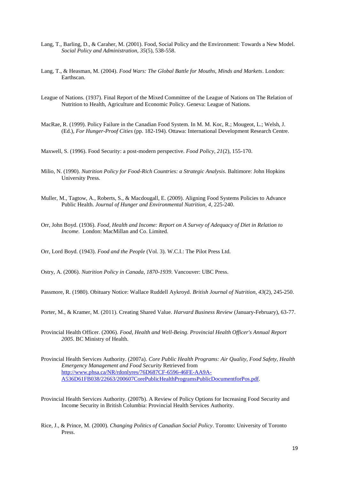- <span id="page-19-8"></span><span id="page-19-7"></span>Lang, T., Barling, D., & Caraher, M. (2001). Food, Social Policy and the Environment: Towards a New Model. *Social Policy and Administration, 35*(5), 538-558.
- <span id="page-19-4"></span>Lang, T., & Heasman, M. (2004). *Food Wars: The Global Battle for Mouths, Minds and Markets*. London: Earthscan.
- <span id="page-19-0"></span>League of Nations. (1937). Final Report of the Mixed Committee of the League of Nations on The Relation of Nutrition to Health, Agriculture and Economic Policy. Geneva: League of Nations.
- <span id="page-19-6"></span>MacRae, R. (1999). Policy Failure in the Canadian Food System. In M. M. Koc, R.; Mougeot, L.; Welsh, J. (Ed.), *For Hunger-Proof Cities* (pp. 182-194). Ottawa: International Development Research Centre.

<span id="page-19-9"></span>Maxwell, S. (1996). Food Security: a post-modern perspective. *Food Policy, 21*(2), 155-170.

- <span id="page-19-14"></span>Milio, N. (1990). *Nutrition Policy for Food-Rich Countries: a Strategic Analysis*. Baltimore: John Hopkins University Press.
- <span id="page-19-1"></span>Muller, M., Tagtow, A., Roberts, S., & Macdougall, E. (2009). Aligning Food Systems Policies to Advance Public Health. *Journal of Hunger and Environmental Nutrition, 4*, 225-240.
- <span id="page-19-5"></span>Orr, John Boyd. (1936). *Food, Health and Income: Report on A Survey of Adequacy of Diet in Relation to Income*. London: MacMillan and Co. Limited.

<span id="page-19-2"></span>Orr, Lord Boyd. (1943). *Food and the People* (Vol. 3). W.C.I.: The Pilot Press Ltd.

<span id="page-19-3"></span>Ostry, A. (2006). *Nutrition Policy in Canada, 1870-1939*. Vancouver: UBC Press.

<span id="page-19-15"></span>Passmore, R. (1980). Obituary Notice: Wallace Ruddell Aykroyd. *British Journal of Nutrition, 43*(2), 245-250.

<span id="page-19-12"></span>Porter, M., & Kramer, M. (2011). Creating Shared Value. *Harvard Business Review* (January-February), 63-77.

- <span id="page-19-10"></span>Provincial Health Officer. (2006). *Food, Health and Well-Being. Provincial Health Officer's Annual Report 2005*. BC Ministry of Health.
- Provincial Health Services Authority. (2007a). *Core Public Health Programs: Air Quality, Food Safety, Health Emergency Management and Food Security* Retrieved from [http://www.phsa.ca/NR/rdonlyres/76D687CF-6596-46FE-AA9A-](http://www.phsa.ca/NR/rdonlyres/76D687CF-6596-46FE-AA9A-A536D61FB038/22663/200607CorePublicHealthProgramsPublicDocumentforPos.pdf)[A536D61FB038/22663/200607CorePublicHealthProgramsPublicDocumentforPos.pdf.](http://www.phsa.ca/NR/rdonlyres/76D687CF-6596-46FE-AA9A-A536D61FB038/22663/200607CorePublicHealthProgramsPublicDocumentforPos.pdf)
- <span id="page-19-13"></span><span id="page-19-11"></span>Provincial Health Services Authority. (2007b). A Review of Policy Options for Increasing Food Security and Income Security in British Columbia: Provincial Health Services Authority.
- Rice, J., & Prince, M. (2000). *Changing Politics of Canadian Social Policy*. Toronto: University of Toronto Press.